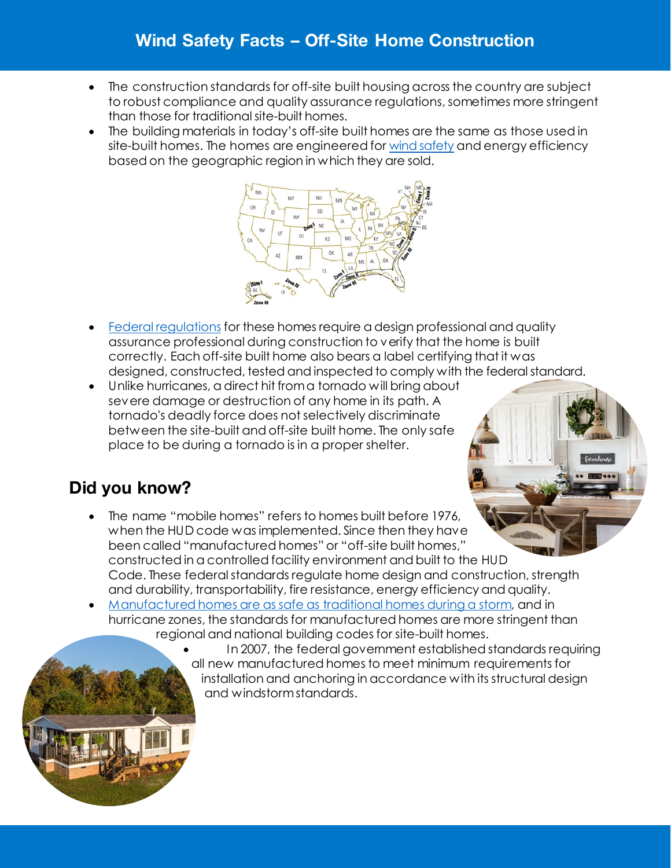## Wind Safety Facts – Off-Site Home Construction

- The construction standards for off-site built housing across the country are subject to robust compliance and quality assurance regulations, sometimes more stringent than those for traditional site-built homes.
- The building materials in today's off-site built homes are the same as those used in site-built homes. The homes are engineered for [wind safety](https://www.claytonhomes.com/learn/home-building/can-prefabricated-homes-withstand-hurricane-winds) and energy efficiency based on the geographic region in which they are sold.



- [Federal regulations](https://www.manufacturedhousing.org/safe-storm/) for these homes require a design professional and quality assurance professional during construction to verify that the home is built correctly. Each off-site built home also bears a label certifying that it was designed, constructed, tested and inspected to comply with the federal standard.
- Unlike hurricanes, a direct hit from a tornado will bring about severe damage or destruction of any home in its path. A tornado's deadly force does not selectively discriminate between the site-built and off-site built home. The only safe place to be during a tornado is in a proper shelter.

## Did you know?

- The name "mobile homes" refers to homes built before 1976, when the HUD code was implemented. Since then they have been called "manufactured homes" or "off-site built homes," constructed in a controlled facility environment and built to the HUD Code. These federal standards regulate home design and construction, strength and durability, transportability, fire resistance, energy efficiency and quality.
- [Manufactured homes are as safe as traditional homes during a storm,](https://www.claytonhomes.com/learn/home-building/are-manufactured-homes-safe-during-storms) and in hurricane zones, the standards for manufactured homes are more stringent than regional and national building codes for site-built homes.
	- In 2007, the federal government established standards requiring all new manufactured homes to meet minimum requirements for installation and anchoring in accordance with its structural design and windstorm standards.